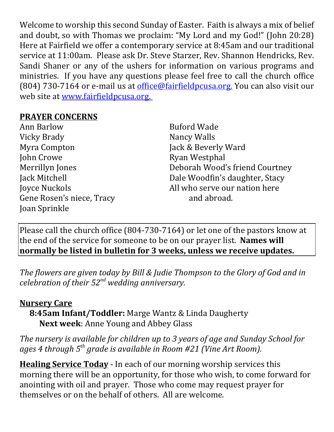Welcome to worship this second Sunday of Easter. Faith is always a mix of belief and doubt, so with Thomas we proclaim: "My Lord and my God!" (John 20:28) Here at Fairfield we offer a contemporary service at 8:45am and our traditional service at 11:00am. Please ask Dr. Steve Starzer, Rev. Shannon Hendricks, Rev. Sandi Shaner or any of the ushers for information on various programs and ministries. If you have any questions please feel free to call the church office (804) 730-7164 or e-mail us at  $office@fairfield$  *pcusa.org*. You can also visit our web site at www.fairfieldpcusa.org.

## **PRAYER CONCERNS**

Ann Barlow Vicky Brady Myra Compton John Crowe Merrillyn Jones Jack Mitchell Joyce Nuckols Gene Rosen's niece, Tracy Joan Sprinkle

Buford Wade Nancy Walls Jack & Beverly Ward Ryan Westphal Deborah Wood's friend Courtney Dale Woodfin's daughter, Stacy All who serve our nation here and abroad.

Please call the church office (804-730-7164) or let one of the pastors know at the end of the service for someone to be on our prayer list. **Names will normally be listed in bulletin for 3 weeks, unless we receive updates.**

*The flowers are given today by Bill & Judie Thompson to the Glory of God and in celebration of their 52nd wedding anniversary.*

## **Nursery Care**

**8:45am Infant/Toddler:** Marge Wantz & Linda Daugherty **Next week**: Anne Young and Abbey Glass

*The nursery is available for children up to 3 years of age and Sunday School for ages 4 through 5th grade is available in Room #21 (Vine Art Room).*

**Healing Service Today** - In each of our morning worship services this morning there will be an opportunity, for those who wish, to come forward for anointing with oil and prayer. Those who come may request prayer for themselves or on the behalf of others. All are welcome.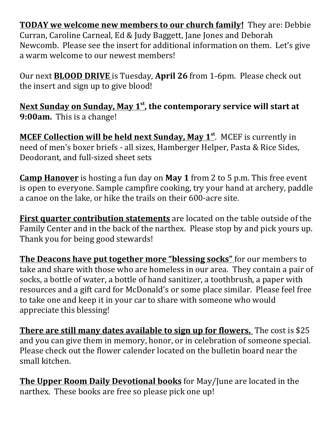**TODAY we welcome new members to our church family!** They are: Debbie Curran, Caroline Carneal, Ed & Judy Baggett, Jane Jones and Deborah Newcomb. Please see the insert for additional information on them. Let's give a warm welcome to our newest members!

Our next **BLOOD DRIVE** is Tuesday, **April 26** from 1-6pm. Please check out the insert and sign up to give blood!

**Next Sunday on Sunday, May 1st , the contemporary service will start at 9:00am.** This is a change!

**MCEF Collection will be held next Sunday, May 1st**. MCEF is currently in need of men's boxer briefs - all sizes, Hamberger Helper, Pasta & Rice Sides, Deodorant, and full-sized sheet sets

**Camp Hanover** is hosting a fun day on **May 1** from 2 to 5 p.m. This free event is open to everyone. Sample campfire cooking, try your hand at archery, paddle a canoe on the lake, or hike the trails on their 600-acre site.

**First quarter contribution statements** are located on the table outside of the Family Center and in the back of the narthex. Please stop by and pick yours up. Thank you for being good stewards!

**The Deacons have put together more "blessing socks"** for our members to take and share with those who are homeless in our area. They contain a pair of socks, a bottle of water, a bottle of hand sanitizer, a toothbrush, a paper with resources and a gift card for McDonald's or some place similar. Please feel free to take one and keep it in your car to share with someone who would appreciate this blessing!

**There are still many dates available to sign up for flowers.** The cost is \$25 and you can give them in memory, honor, or in celebration of someone special. Please check out the flower calender located on the bulletin board near the small kitchen.

**The Upper Room Daily Devotional books** for May/June are located in the narthex. These books are free so please pick one up!